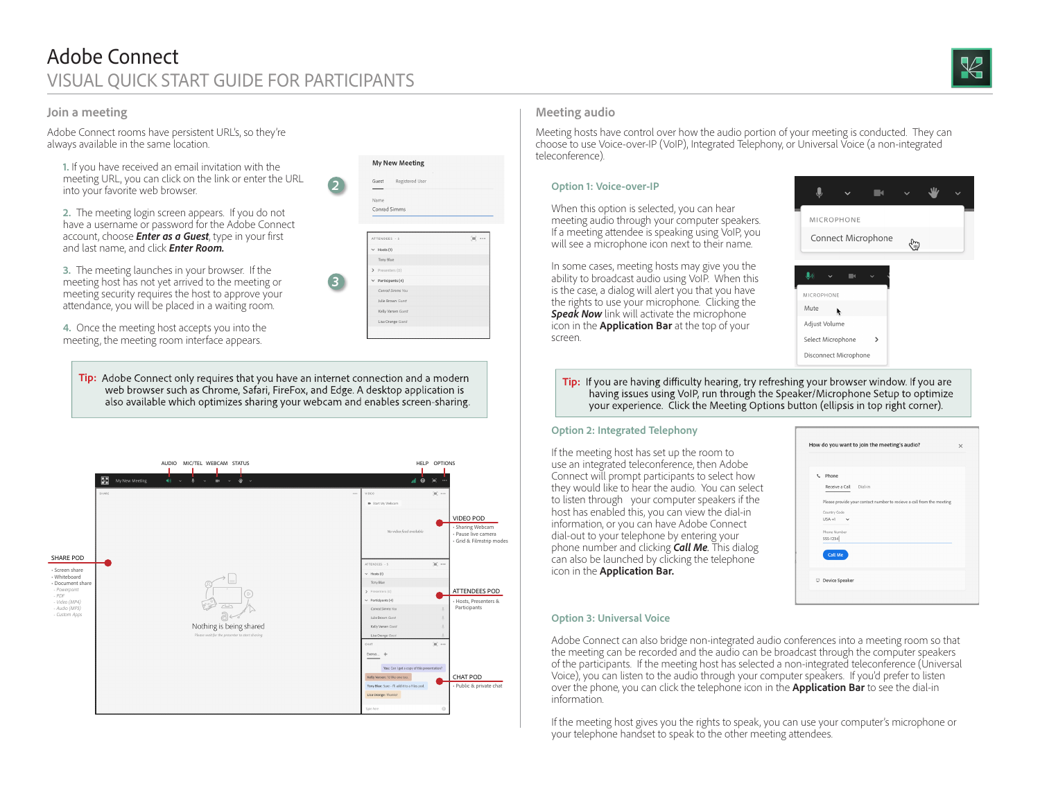## **Join a meeting**

Adobe Connect rooms have persistent URL's, so they're always available in the same location.

**1.** If you have received an email invitation with the meeting URL, you can click on the link or enter the URL into your favorite web browser.

**2.** The meeting login screen appears. If you do not have a username or password for the Adobe Connect account, choose *Enter as a Guest*, type in your first and last name, and click *Enter Room.*

**3.** The meeting launches in your browser. If the meeting host has not yet arrived to the meeting or meeting security requires the host to approve your attendance, you will be placed in a waiting room.

**4.** Once the meeting host accepts you into the meeting, the meeting room interface appears.

Tip: Adobe Connect only requires that you have an internet connection and a modern<br>web browser such as Chrome, Safari, FireFox, and Edge. A desktop application is<br>having issues using VolP run through the Speaker/Microphone also available which optimizes sharing your webcam and enables screen-sharing.

*2*

**My New Meeting** 

Guest 

Name Conrad Simms

TTENDEES -

Hosts  $(1)$ Tony Blue Participants (4) Conrad Simms Yo

Julie Brown Gues

Kelly Varsen Gues Lisa Orange Guest

*3*



## **Meeting audio**

Meeting hosts have control over how the audio portion of your meeting is conducted. They can choose to use Voice-over-IP (VoIP), Integrated Telephony, or Universal Voice (a non-integrated teleconference).

### **Option 1: Voice-over-IP**

When this option is selected, you can hear meeting audio through your computer speakers. If a meeting attendee is speaking using VoIP, you will see a microphone icon next to their name.

In some cases, meeting hosts may give you the ability to broadcast audio using VoIP. When this is the case, a dialog will alert you that you have the rights to use your microphone. Clicking the **Speak Now** link will activate the microphone icon in the **Application Bar** at the top of your screen.



having issues using VoIP, run through the Speaker/Microphone Setup to optimize your experience. Click the Meeting Options button (ellipsis in top right corner).

#### **Option 2: Integrated Telephony**

If the meeting host has set up the room to use an integrated teleconference, then Adobe Connect will prompt participants to select how they would like to hear the audio. You can select to listen through your computer speakers if the host has enabled this, you can view the dial-in information, or you can have Adobe Connect dial-out to your telephone by entering your phone number and clicking *Call Me.* This dialog can also be launched by clicking the telephone icon in the **Application Bar.**

| t Phone                                                               |  |
|-----------------------------------------------------------------------|--|
| Receive a Call Dial-in                                                |  |
| Please provide your contact number to recieve a call from the meeting |  |
|                                                                       |  |
| Country Code<br>$USA + 1$<br>$\checkmark$                             |  |
| Phone Number                                                          |  |
| 555-1234                                                              |  |
|                                                                       |  |
| <b>Call Me</b>                                                        |  |
|                                                                       |  |
| Device Speaker                                                        |  |

#### **Option 3: Universal Voice**

Adobe Connect can also bridge non-integrated audio conferences into a meeting room so that the meeting can be recorded and the audio can be broadcast through the computer speakers of the participants. If the meeting host has selected a non-integrated teleconference (Universal Voice), you can listen to the audio through your computer speakers. If you'd prefer to listen over the phone, you can click the telephone icon in the **Application Bar** to see the dial-in information.

If the meeting host gives you the rights to speak, you can use your computer's microphone or your telephone handset to speak to the other meeting attendees.